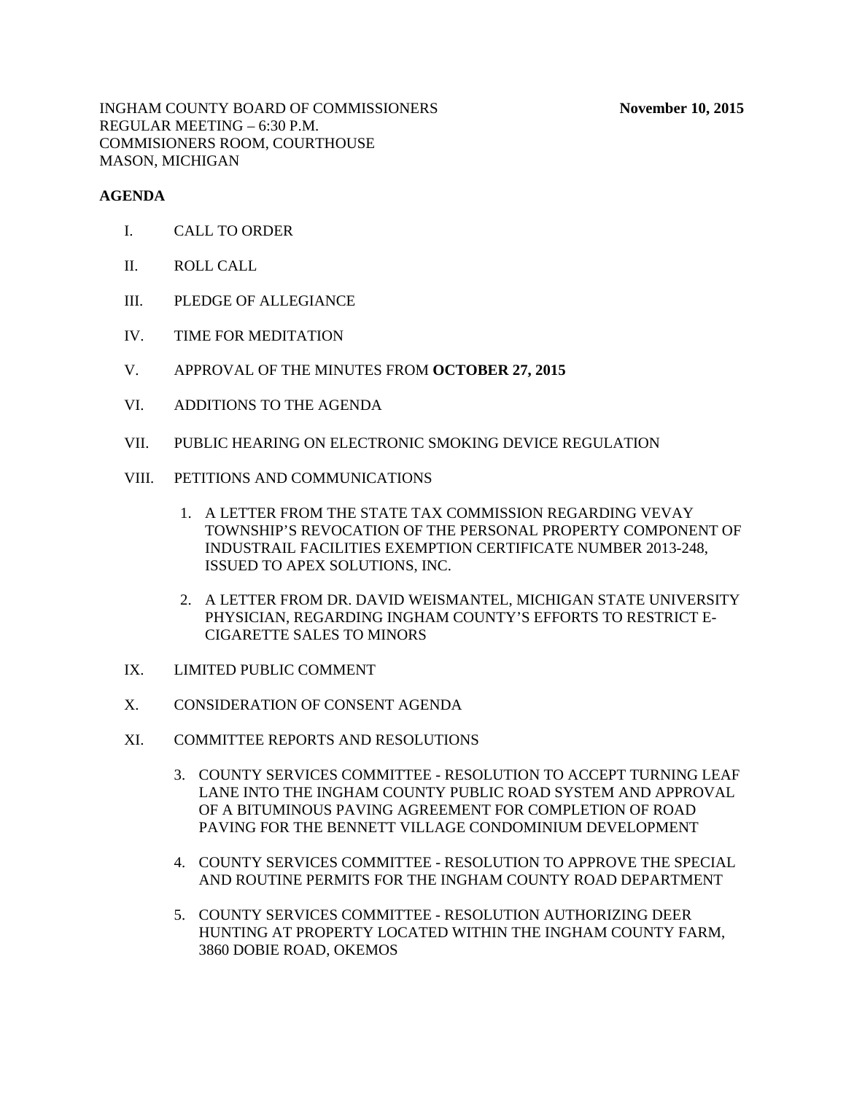## **AGENDA**

- I. CALL TO ORDER
- II. ROLL CALL
- III. PLEDGE OF ALLEGIANCE
- IV. TIME FOR MEDITATION
- V. APPROVAL OF THE MINUTES FROM **OCTOBER 27, 2015**
- VI. ADDITIONS TO THE AGENDA
- VII. PUBLIC HEARING ON ELECTRONIC SMOKING DEVICE REGULATION
- VIII. PETITIONS AND COMMUNICATIONS
	- 1. A LETTER FROM THE STATE TAX COMMISSION REGARDING VEVAY TOWNSHIP'S REVOCATION OF THE PERSONAL PROPERTY COMPONENT OF INDUSTRAIL FACILITIES EXEMPTION CERTIFICATE NUMBER 2013-248, ISSUED TO APEX SOLUTIONS, INC.
	- 2. A LETTER FROM DR. DAVID WEISMANTEL, MICHIGAN STATE UNIVERSITY PHYSICIAN, REGARDING INGHAM COUNTY'S EFFORTS TO RESTRICT E-CIGARETTE SALES TO MINORS
- IX. LIMITED PUBLIC COMMENT
- X. CONSIDERATION OF CONSENT AGENDA
- XI. COMMITTEE REPORTS AND RESOLUTIONS
	- 3. COUNTY SERVICES COMMITTEE RESOLUTION TO ACCEPT TURNING LEAF LANE INTO THE INGHAM COUNTY PUBLIC ROAD SYSTEM AND APPROVAL OF A BITUMINOUS PAVING AGREEMENT FOR COMPLETION OF ROAD PAVING FOR THE BENNETT VILLAGE CONDOMINIUM DEVELOPMENT
	- 4. COUNTY SERVICES COMMITTEE RESOLUTION TO APPROVE THE SPECIAL AND ROUTINE PERMITS FOR THE INGHAM COUNTY ROAD DEPARTMENT
	- 5. COUNTY SERVICES COMMITTEE RESOLUTION AUTHORIZING DEER HUNTING AT PROPERTY LOCATED WITHIN THE INGHAM COUNTY FARM, 3860 DOBIE ROAD, OKEMOS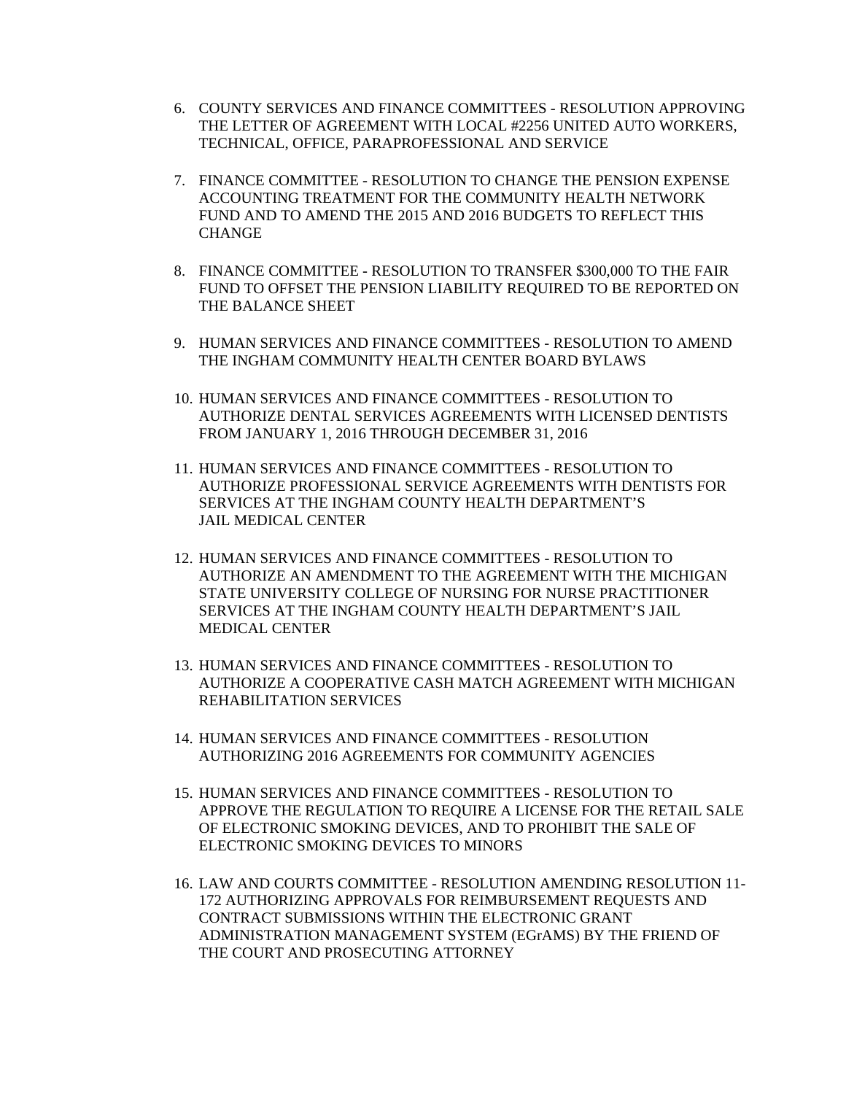- 6. COUNTY SERVICES AND FINANCE COMMITTEES RESOLUTION APPROVING THE LETTER OF AGREEMENT WITH LOCAL #2256 UNITED AUTO WORKERS, TECHNICAL, OFFICE, PARAPROFESSIONAL AND SERVICE
- 7. FINANCE COMMITTEE RESOLUTION TO CHANGE THE PENSION EXPENSE ACCOUNTING TREATMENT FOR THE COMMUNITY HEALTH NETWORK FUND AND TO AMEND THE 2015 AND 2016 BUDGETS TO REFLECT THIS CHANGE
- 8. FINANCE COMMITTEE RESOLUTION TO TRANSFER \$300,000 TO THE FAIR FUND TO OFFSET THE PENSION LIABILITY REQUIRED TO BE REPORTED ON THE BALANCE SHEET
- 9. HUMAN SERVICES AND FINANCE COMMITTEES RESOLUTION TO AMEND THE INGHAM COMMUNITY HEALTH CENTER BOARD BYLAWS
- 10. HUMAN SERVICES AND FINANCE COMMITTEES RESOLUTION TO AUTHORIZE DENTAL SERVICES AGREEMENTS WITH LICENSED DENTISTS FROM JANUARY 1, 2016 THROUGH DECEMBER 31, 2016
- 11. HUMAN SERVICES AND FINANCE COMMITTEES RESOLUTION TO AUTHORIZE PROFESSIONAL SERVICE AGREEMENTS WITH DENTISTS FOR SERVICES AT THE INGHAM COUNTY HEALTH DEPARTMENT'S JAIL MEDICAL CENTER
- 12. HUMAN SERVICES AND FINANCE COMMITTEES RESOLUTION TO AUTHORIZE AN AMENDMENT TO THE AGREEMENT WITH THE MICHIGAN STATE UNIVERSITY COLLEGE OF NURSING FOR NURSE PRACTITIONER SERVICES AT THE INGHAM COUNTY HEALTH DEPARTMENT'S JAIL MEDICAL CENTER
- 13. HUMAN SERVICES AND FINANCE COMMITTEES RESOLUTION TO AUTHORIZE A COOPERATIVE CASH MATCH AGREEMENT WITH MICHIGAN REHABILITATION SERVICES
- 14. HUMAN SERVICES AND FINANCE COMMITTEES RESOLUTION AUTHORIZING 2016 AGREEMENTS FOR COMMUNITY AGENCIES
- 15. HUMAN SERVICES AND FINANCE COMMITTEES RESOLUTION TO APPROVE THE REGULATION TO REQUIRE A LICENSE FOR THE RETAIL SALE OF ELECTRONIC SMOKING DEVICES, AND TO PROHIBIT THE SALE OF ELECTRONIC SMOKING DEVICES TO MINORS
- 16. LAW AND COURTS COMMITTEE RESOLUTION AMENDING RESOLUTION 11- 172 AUTHORIZING APPROVALS FOR REIMBURSEMENT REQUESTS AND CONTRACT SUBMISSIONS WITHIN THE ELECTRONIC GRANT ADMINISTRATION MANAGEMENT SYSTEM (EGrAMS) BY THE FRIEND OF THE COURT AND PROSECUTING ATTORNEY